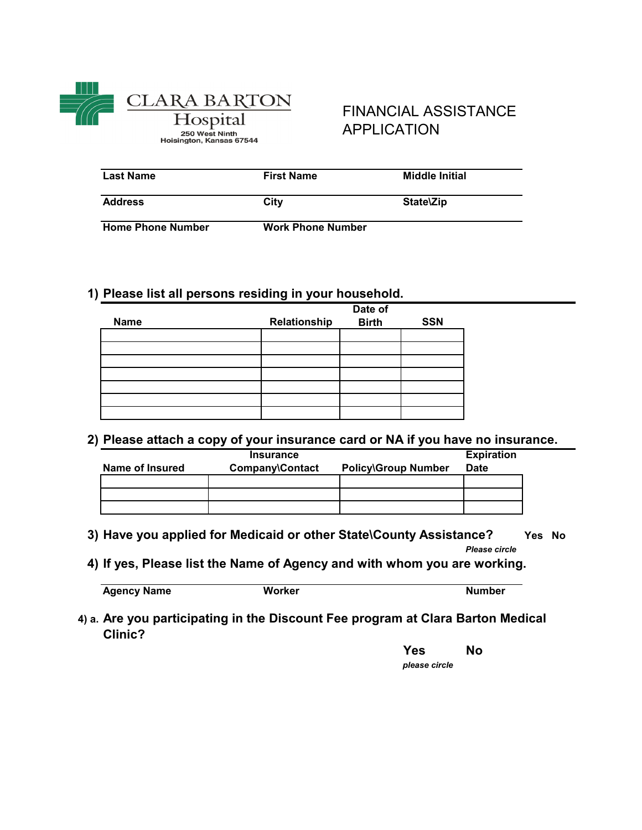

250 West Ninth<br>250 West Ninth<br>Hoisington, Kansas 67544

## FINANCIAL ASSISTANCE APPLICATION

| <b>Last Name</b>         | <b>First Name</b>        | <b>Middle Initial</b> |
|--------------------------|--------------------------|-----------------------|
| <b>Address</b>           | City                     | State\Zip             |
| <b>Home Phone Number</b> | <b>Work Phone Number</b> |                       |

## **1) Please list all persons residing in your household.**

|             |              | Date of      |            |
|-------------|--------------|--------------|------------|
| <b>Name</b> | Relationship | <b>Birth</b> | <b>SSN</b> |
|             |              |              |            |
|             |              |              |            |
|             |              |              |            |
|             |              |              |            |
|             |              |              |            |
|             |              |              |            |
|             |              |              |            |

### **2) Please attach a copy of your insurance card or NA if you have no insurance.**

|                 | <b>Insurance</b> |                            | <b>Expiration</b> |
|-----------------|------------------|----------------------------|-------------------|
| Name of Insured | Company\Contact  | <b>Policy\Group Number</b> | <b>Date</b>       |
|                 |                  |                            |                   |
|                 |                  |                            |                   |
|                 |                  |                            |                   |

**3) Yes No Have you applied for Medicaid or other State\County Assistance?** 

*Please circle*

**4) If yes, Please list the Name of Agency and with whom you are working.**

**Agency Name <b>Worker Worker Number Number** 

**4) a. Are you participating in the Discount Fee program at Clara Barton Medical Clinic?**

**Yes No**

*please circle*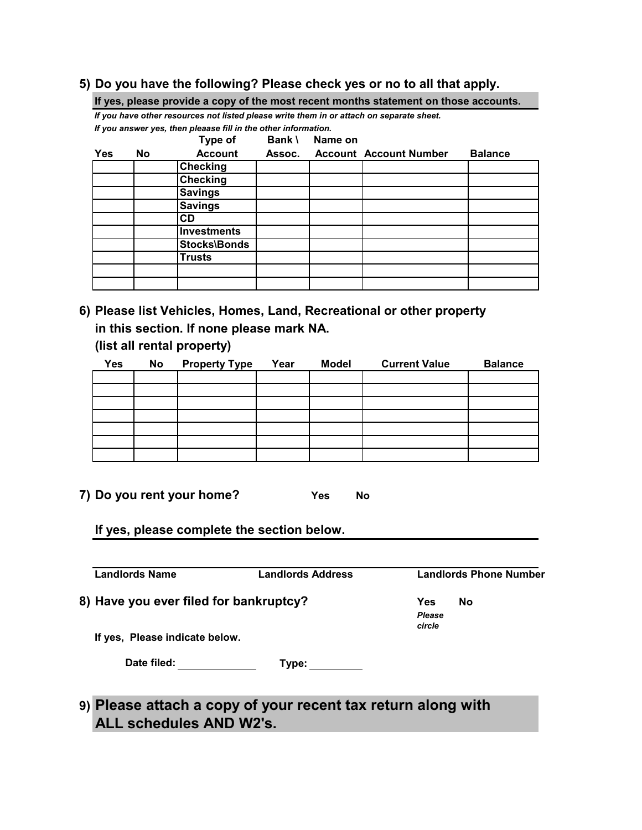### **5) Do you have the following? Please check yes or no to all that apply.**

|     |     |                                                                                          |        |         | If yes, please provide a copy of the most recent months statement on those accounts. |                |
|-----|-----|------------------------------------------------------------------------------------------|--------|---------|--------------------------------------------------------------------------------------|----------------|
|     |     | If you have other resources not listed please write them in or attach on separate sheet. |        |         |                                                                                      |                |
|     |     | If you answer yes, then pleaase fill in the other information.                           |        |         |                                                                                      |                |
|     |     | Type of                                                                                  | Bank \ | Name on |                                                                                      |                |
| Yes | No. | <b>Account</b>                                                                           | Assoc. |         | <b>Account Account Number</b>                                                        | <b>Balance</b> |
|     |     | <b>Checking</b>                                                                          |        |         |                                                                                      |                |
|     |     | <b>Checking</b>                                                                          |        |         |                                                                                      |                |
|     |     | <b>Savings</b>                                                                           |        |         |                                                                                      |                |
|     |     | <b>Savings</b>                                                                           |        |         |                                                                                      |                |
|     |     | CD                                                                                       |        |         |                                                                                      |                |
|     |     | <b>Investments</b>                                                                       |        |         |                                                                                      |                |
|     |     | <b>Stocks\Bonds</b>                                                                      |        |         |                                                                                      |                |
|     |     | Trusts                                                                                   |        |         |                                                                                      |                |
|     |     |                                                                                          |        |         |                                                                                      |                |

 **6) Please list Vehicles, Homes, Land, Recreational or other property in this section. If none please mark NA.**

**(list all rental property)**

| <b>Yes</b> | No | <b>Property Type</b> | Year | <b>Model</b> | <b>Current Value</b> | <b>Balance</b> |
|------------|----|----------------------|------|--------------|----------------------|----------------|
|            |    |                      |      |              |                      |                |
|            |    |                      |      |              |                      |                |
|            |    |                      |      |              |                      |                |
|            |    |                      |      |              |                      |                |
|            |    |                      |      |              |                      |                |
|            |    |                      |      |              |                      |                |
|            |    |                      |      |              |                      |                |

 **7) Do you rent your home? Yes No**

**If yes, please complete the section below.**

**Landlords Name Landlords Address Landlords Phone Number** 8) Have you ever filed for bankruptcy? Yes No *Please circle* **If yes, Please indicate below. Type: Date filed:**

 **9) Please attach a copy of your recent tax return along with ALL schedules AND W2's.**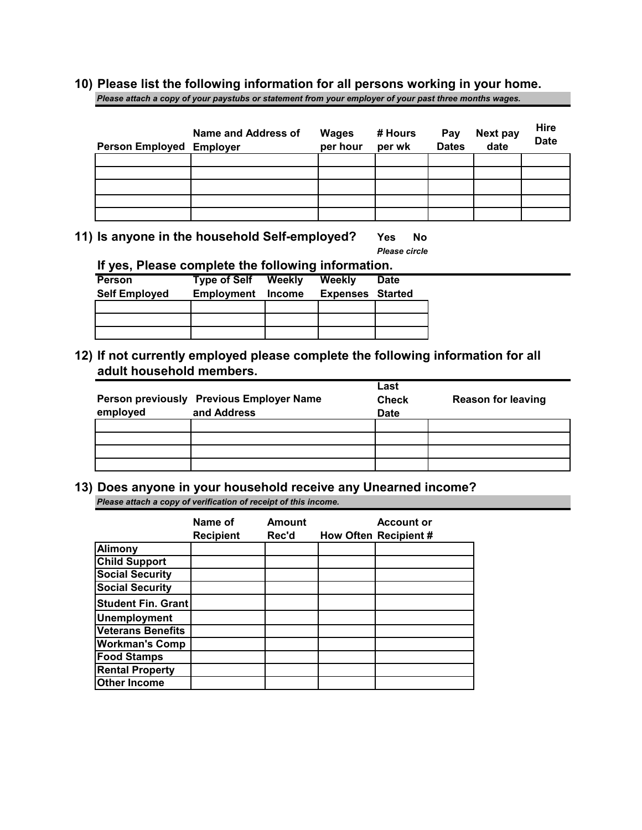# **10) Please list the following information for all persons working in your home.**

*Please attach a copy of your paystubs or statement from your employer of your past three months wages.*

| Person Employed Employer | Name and Address of | <b>Wages</b><br>per hour | # Hours<br>per wk | Pay<br><b>Dates</b> | <b>Next pay</b><br>date | Hire<br><b>Date</b> |
|--------------------------|---------------------|--------------------------|-------------------|---------------------|-------------------------|---------------------|
|                          |                     |                          |                   |                     |                         |                     |
|                          |                     |                          |                   |                     |                         |                     |
|                          |                     |                          |                   |                     |                         |                     |
|                          |                     |                          |                   |                     |                         |                     |
|                          |                     |                          |                   |                     |                         |                     |

 **11) Is anyone in the household Self-employed? Yes No**

*Please circle*

**If yes, Please complete the following information.**

| <b>Person</b>        | <b>Type of Self</b> | Weekly | Weekly                  | <b>Date</b> |
|----------------------|---------------------|--------|-------------------------|-------------|
| <b>Self Employed</b> | Employment          | Income | <b>Expenses Started</b> |             |
|                      |                     |        |                         |             |
|                      |                     |        |                         |             |
|                      |                     |        |                         |             |

## **12) If not currently employed please complete the following information for all adult household members.**

|          |                                          | Last         |                           |
|----------|------------------------------------------|--------------|---------------------------|
|          | Person previously Previous Employer Name | <b>Check</b> | <b>Reason for leaving</b> |
| employed | and Address                              | <b>Date</b>  |                           |
|          |                                          |              |                           |
|          |                                          |              |                           |
|          |                                          |              |                           |
|          |                                          |              |                           |

**13) Does anyone in your household receive any Unearned income?**  *Please attach a copy of verification of receipt of this income.*

|                           | Name of<br><b>Recipient</b> | Amount<br>Rec'd | <b>Account or</b><br>How Often Recipient # |
|---------------------------|-----------------------------|-----------------|--------------------------------------------|
| <b>Alimony</b>            |                             |                 |                                            |
| <b>Child Support</b>      |                             |                 |                                            |
| <b>Social Security</b>    |                             |                 |                                            |
| <b>Social Security</b>    |                             |                 |                                            |
| <b>Student Fin. Grant</b> |                             |                 |                                            |
| <b>Unemployment</b>       |                             |                 |                                            |
| <b>Veterans Benefits</b>  |                             |                 |                                            |
| <b>Workman's Comp</b>     |                             |                 |                                            |
| <b>Food Stamps</b>        |                             |                 |                                            |
| <b>Rental Property</b>    |                             |                 |                                            |
| <b>Other Income</b>       |                             |                 |                                            |